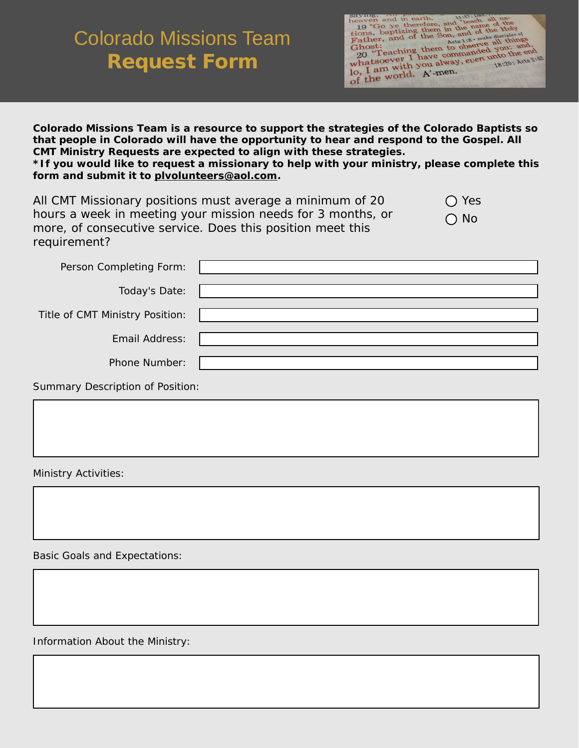## Colorado Missions Team Request Form

| sayung,<br>11:27; Dan.                                                                                             |
|--------------------------------------------------------------------------------------------------------------------|
| heaven and in earth.<br>19 "Go ye therefore, and "teach all na-                                                    |
|                                                                                                                    |
|                                                                                                                    |
| tions, baptizing them in the name of the                                                                           |
|                                                                                                                    |
| Father, and of the Son, and of the Holy<br>Acts 1:8 - make disciples of<br>20 "Teaching them to observe all things |
|                                                                                                                    |
|                                                                                                                    |
|                                                                                                                    |
|                                                                                                                    |
| whatsoever I have commanded you: and,<br>18.20; Acts 2:42                                                          |
|                                                                                                                    |
| lo, I am with you alway, even unto the end<br>of the world. A'-men.                                                |
|                                                                                                                    |
|                                                                                                                    |
|                                                                                                                    |

**Colorado Missions Team is a resource to support the strategies of the Colorado Baptists so that people in Colorado will have the opportunity to hear and respond to the Gospel. All CMT Ministry Requests are expected to align with these strategies. \*If you would like to request a missionary to help with your ministry, please complete this form and submit it to plvolunteers@aol.com.**

| All CMT Missionary positions must average a minimum of 20   | $\bigcap$ Yes |
|-------------------------------------------------------------|---------------|
| hours a week in meeting your mission needs for 3 months, or | $\bigcirc$ No |
| more, of consecutive service. Does this position meet this  |               |
| requirement?                                                |               |

| Person Completing Form:         |  |
|---------------------------------|--|
| Today's Date:                   |  |
| Title of CMT Ministry Position: |  |
| <b>Email Address:</b>           |  |
| Phone Number:                   |  |

Summary Description of Position:

Ministry Activities:

Basic Goals and Expectations:

Information About the Ministry: